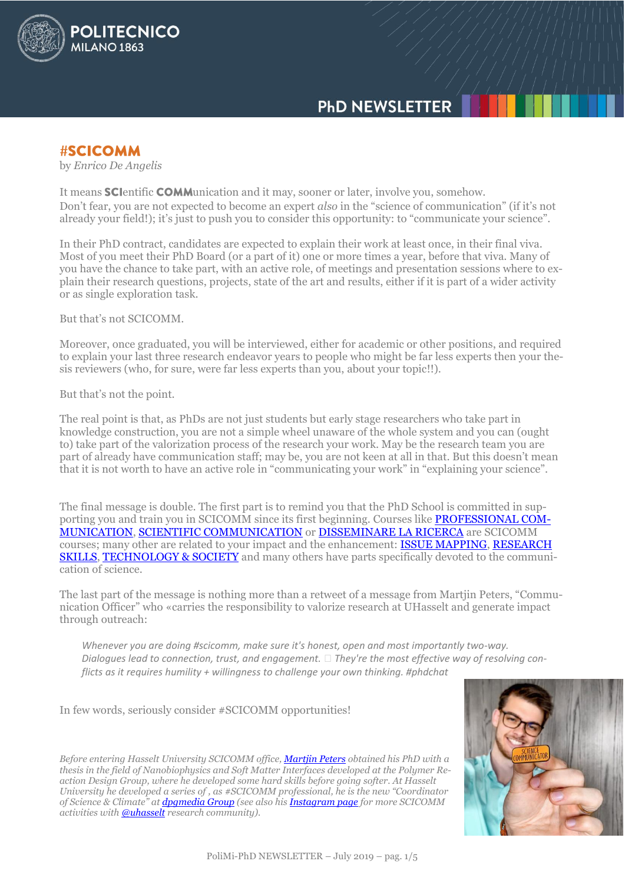

# **PhD NEWSLETTER**

**#SCICOMM** 

by *Enrico De Angelis*

It means **SCI** entific **COMM**unication and it may, sooner or later, involve you, somehow. Don't fear, you are not expected to become an expert *also* in the "science of communication" (if it's not already your field!); it's just to push you to consider this opportunity: to "communicate your science".

In their PhD contract, candidates are expected to explain their work at least once, in their final viva. Most of you meet their PhD Board (or a part of it) one or more times a year, before that viva. Many of you have the chance to take part, with an active role, of meetings and presentation sessions where to explain their research questions, projects, state of the art and results, either if it is part of a wider activity or as single exploration task.

But that's not SCICOMM.

Moreover, once graduated, you will be interviewed, either for academic or other positions, and required to explain your last three research endeavor years to people who might be far less experts then your thesis reviewers (who, for sure, were far less experts than you, about your topic!!).

But that's not the point.

The real point is that, as PhDs are not just students but early stage researchers who take part in knowledge construction, you are not a simple wheel unaware of the whole system and you can (ought to) take part of the valorization process of the research your work. May be the research team you are part of already have communication staff; may be, you are not keen at all in that. But this doesn't mean that it is not worth to have an active role in "communicating your work" in "explaining your science".

The final message is double. The first part is to remind you that the PhD School is committed in supporting you and train you in SCICOMM since its first beginning. Courses like **PROFESSIONAL COM-**[MUNICATION,](https://www11.ceda.polimi.it/schedaincarico/schedaincarico/controller/scheda_pubblica/SchedaPublic.do?&evn_default=evento&c_classe=700089&lang=EN&polij_device_category=DESKTOP&__pj0=0&__pj1=f56cbf8f148d166783171ef242a2bc19) [SCIENTIFIC COMMUNICATION](https://www11.ceda.polimi.it/schedaincarico/schedaincarico/controller/scheda_pubblica/SchedaPublic.do?&evn_default=evento&c_classe=700095&lang=EN&polij_device_category=DESKTOP&__pj0=0&__pj1=98ce80f19e62cf81683fa24404988692) or [DISSEMINARE LA RICERCA](https://www11.ceda.polimi.it/schedaincarico/schedaincarico/controller/scheda_pubblica/SchedaPublic.do?&evn_default=evento&c_classe=699827&lang=EN&polij_device_category=DESKTOP&__pj0=0&__pj1=40be0fb45b0d11044d95c1b3eab8eefd) are SCICOMM courses; many other are related to your impact and the enhancement: [ISSUE MAPPING,](https://www11.ceda.polimi.it/schedaincarico/schedaincarico/controller/scheda_pubblica/SchedaPublic.do?&evn_default=evento&c_classe=700161&lang=EN&polij_device_category=DESKTOP&__pj0=0&__pj1=5c55faf32fa12cf3103150c72b74c25a) [RESEARCH](https://www11.ceda.polimi.it/schedaincarico/schedaincarico/controller/scheda_pubblica/SchedaPublic.do?&evn_default=evento&c_classe=699824&lang=EN&polij_device_category=DESKTOP&__pj0=0&__pj1=1788699668213c4283e0e4bdded6b93b)  [SKILLS,](https://www11.ceda.polimi.it/schedaincarico/schedaincarico/controller/scheda_pubblica/SchedaPublic.do?&evn_default=evento&c_classe=699824&lang=EN&polij_device_category=DESKTOP&__pj0=0&__pj1=1788699668213c4283e0e4bdded6b93b) [TECHNOLOGY & SOCIETY](https://www11.ceda.polimi.it/schedaincarico/schedaincarico/controller/scheda_pubblica/SchedaPublic.do?&evn_default=evento&c_classe=700068&lang=EN&polij_device_category=DESKTOP&__pj0=0&__pj1=578083052300746538481227f0ea6c1a) and many others have parts specifically devoted to the communication of science.

The last part of the message is nothing more than a retweet of a message from Martjin Peters, "Communication Officer" who «carries the responsibility to valorize research at UHasselt and generate impact through outreach:

*Whenever you are doing #scicomm, make sure it's honest, open and most importantly two-way. Dialogues lead to connection, trust, and engagement. They're the most effective way of resolving conflicts as it requires humility + willingness to challenge your own thinking. #phdchat*

In few words, seriously consider #SCICOMM opportunities!

*Before entering Hasselt University SCICOMM office[, Martjin Peters](https://twitter.com/MartijnPeters_) obtained his PhD with a thesis in the field of Nanobiophysics and Soft Matter Interfaces developed at the Polymer Reaction Design Group, where he developed some hard skills before going softer. At Hasselt University he developed a series of , as #SCICOMM professional, he is the new "Coordinator of Science & Climate" at [dpgmedia Group](https://www.dpgmedia.be/nl/over-ons/wie-zijn-we) (see also his [Instagram page](https://www.instagram.com/p/Bx2RwvHCqy-/) for more SCICOMM activities with [@uhasselt](https://twitter.com/inscightUH) research community).*

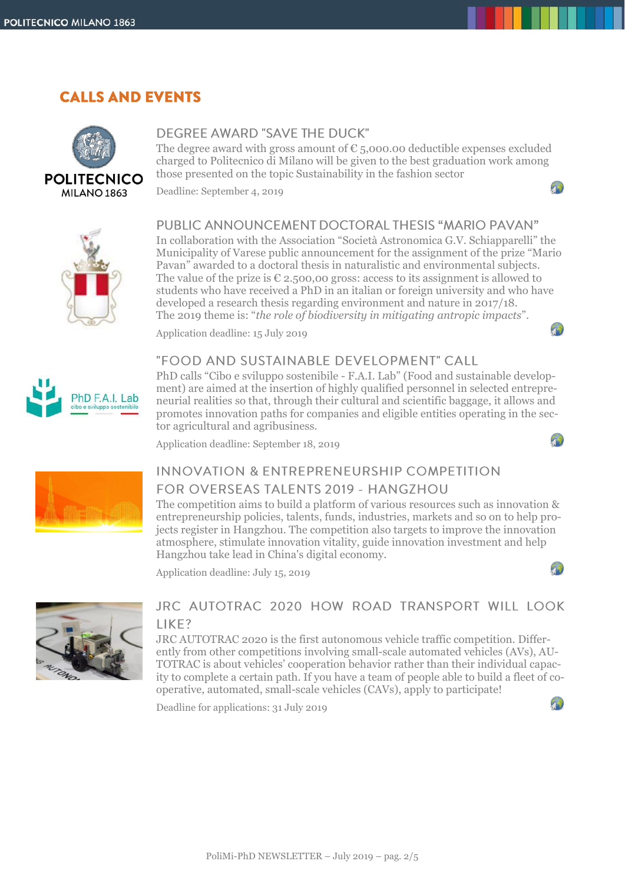# **CALLS AND EVENTS**



### **DEGREE AWARD "SAVE THE DUCK"**

The degree award with gross amount of  $\epsilon$  5,000.00 deductible expenses excluded charged to Politecnico di Milano will be given to the best graduation work among those presented on the topic Sustainability in the fashion sector

 $\mathbf{B}$ 

 $T$ 

 $22$ 

 $\mathbf{r}$ 

Deadline: September 4, 2019



PhD F.A.I. Lab

## PUBLIC ANNOUNCEMENT DOCTORAL THESIS "MARIO PAVAN"

In collaboration with the Association "Società Astronomica G.V. Schiapparelli" the Municipality of Varese public announcement for the assignment of the prize "Mario Pavan" awarded to a doctoral thesis in naturalistic and environmental subjects. The value of the prize is  $\epsilon$  2.500,00 gross: access to its assignment is allowed to students who have received a PhD in an italian or foreign university and who have developed a research thesis regarding environment and nature in 2017/18. The 2019 theme is: "*the role of biodiversity in mitigating antropic impacts*".

Application deadline: 15 July 2019

### "FOOD AND SUSTAINABLE DEVELOPMENT" CALL

PhD calls "Cibo e sviluppo sostenibile - F.A.I. Lab" (Food and sustainable development) are aimed at the insertion of highly qualified personnel in selected entrepreneurial realities so that, through their cultural and scientific baggage, it allows and promotes innovation paths for companies and eligible entities operating in the sector agricultural and agribusiness.

Application deadline: September 18, 2019



# **INNOVATION & ENTREPRENEURSHIP COMPETITION** FOR OVERSEAS TALENTS 2019 - HANGZHOU

The competition aims to build a platform of various resources such as innovation & entrepreneurship policies, talents, funds, industries, markets and so on to help projects register in Hangzhou. The competition also targets to improve the innovation atmosphere, stimulate innovation vitality, guide innovation investment and help Hangzhou take lead in China's digital economy.

Application deadline: July 15, 2019



## JRC AUTOTRAC 2020 HOW ROAD TRANSPORT WILL LOOK LIKE?

JRC AUTOTRAC 2020 is the first autonomous vehicle traffic competition. Differently from other competitions involving small-scale automated vehicles (AVs), AU-TOTRAC is about vehicles' cooperation behavior rather than their individual capacity to complete a certain path. If you have a team of people able to build a fleet of cooperative, automated, small-scale vehicles (CAVs), apply to participate!

Deadline for applications: 31 July 2019

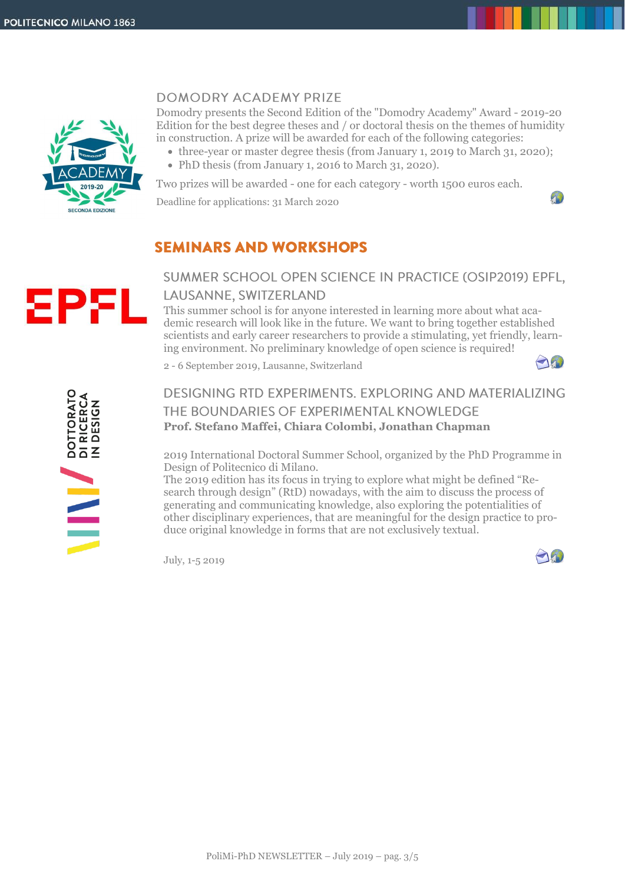

### **DOMODRY ACADEMY PRIZE**

Domodry presents the Second Edition of the "Domodry Academy" Award - 2019-20 Edition for the best degree theses and / or doctoral thesis on the themes of humidity in construction. A prize will be awarded for each of the following categories:

- three-year or master degree thesis (from January 1, 2019 to March 31, 2020);
- PhD thesis (from January 1, 2016 to March 31, 2020).

Two prizes will be awarded - one for each category - worth 1500 euros each.

Deadline for applications: 31 March 2020



# **SEMINARS AND WORKSHOPS**

## SUMMER SCHOOL OPEN SCIENCE IN PRACTICE (OSIP2019) EPFL, LAUSANNE, SWITZERLAND

This summer school is for anyone interested in learning more about what academic research will look like in the future. We want to bring together established scientists and early career researchers to provide a stimulating, yet friendly, learning environment. No preliminary knowledge of open science is required!

2 - 6 September 2019, Lausanne, Switzerland



8P.

## DESIGNING RTD EXPERIMENTS. EXPLORING AND MATERIALIZING THE BOUNDARIES OF EXPERIMENTAL KNOWLEDGE **Prof. Stefano Maffei, Chiara Colombi, Jonathan Chapman**

2019 International Doctoral Summer School, organized by the PhD Programme in Design of Politecnico di Milano.

The 2019 edition has its focus in trying to explore what might be defined "Research through design" (RtD) nowadays, with the aim to discuss the process of generating and communicating knowledge, also exploring the potentialities of other disciplinary experiences, that are meaningful for the design practice to produce original knowledge in forms that are not exclusively textual.

July, 1-5 2019

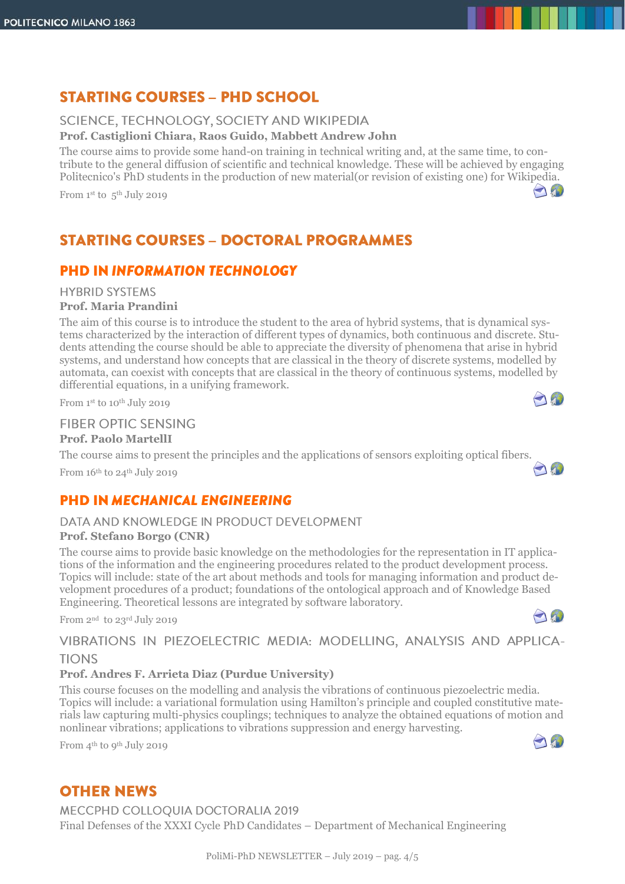# **STARTING COURSES - PHD SCHOOL**

### SCIENCE, TECHNOLOGY, SOCIETY AND WIKIPEDIA

**Prof. Castiglioni Chiara, Raos Guido, Mabbett Andrew John** 

The course aims to provide some hand-on training in technical writing and, at the same time, to contribute to the general diffusion of scientific and technical knowledge. These will be achieved by engaging Politecnico's PhD students in the production of new material(or revision of existing one) for Wikipedia.

From 1st to 5<sup>th</sup> July 2019

# **STARTING COURSES - DOCTORAL PROGRAMMES**

## **PHD IN INFORMATION TECHNOLOGY**

## **HYBRID SYSTEMS**

### **Prof. Maria Prandini**

The aim of this course is to introduce the student to the area of hybrid systems, that is dynamical systems characterized by the interaction of different types of dynamics, both continuous and discrete. Students attending the course should be able to appreciate the diversity of phenomena that arise in hybrid systems, and understand how concepts that are classical in the theory of discrete systems, modelled by automata, can coexist with concepts that are classical in the theory of continuous systems, modelled by differential equations, in a unifying framework.

From 1st to 10<sup>th</sup> July 2019

### **FIBER OPTIC SENSING**

#### **Prof. Paolo MartellI**

The course aims to present the principles and the applications of sensors exploiting optical fibers.

From  $16<sup>th</sup>$  to  $24<sup>th</sup>$  July 2019

## **PHD IN MECHANICAL ENGINEERING**

### DATA AND KNOWLEDGE IN PRODUCT DEVELOPMENT

### **Prof. Stefano Borgo (CNR)**

The course aims to provide basic knowledge on the methodologies for the representation in IT applications of the information and the engineering procedures related to the product development process. Topics will include: state of the art about methods and tools for managing information and product development procedures of a product; foundations of the ontological approach and of Knowledge Based Engineering. Theoretical lessons are integrated by software laboratory.

From 2nd to 23rd July 2019

## VIBRATIONS IN PIEZOELECTRIC MEDIA: MODELLING, ANALYSIS AND APPLICA-**TIONS**

### **Prof. Andres F. Arrieta Diaz (Purdue University)**

This course focuses on the modelling and analysis the vibrations of continuous piezoelectric media. Topics will include: a variational formulation using Hamilton's principle and coupled constitutive materials law capturing multi-physics couplings; techniques to analyze the obtained equations of motion and nonlinear vibrations; applications to vibrations suppression and energy harvesting.

From 4th to 9th July 2019



 $\bigcap_{i=1}^n$ 

 $\bigcap_{i=1}^n$ 

And

190

# **OTHER NEWS**

MECCPHD COLLOQUIA DOCTORALIA 2019

Final Defenses of the XXXI Cycle PhD Candidates – Department of Mechanical Engineering